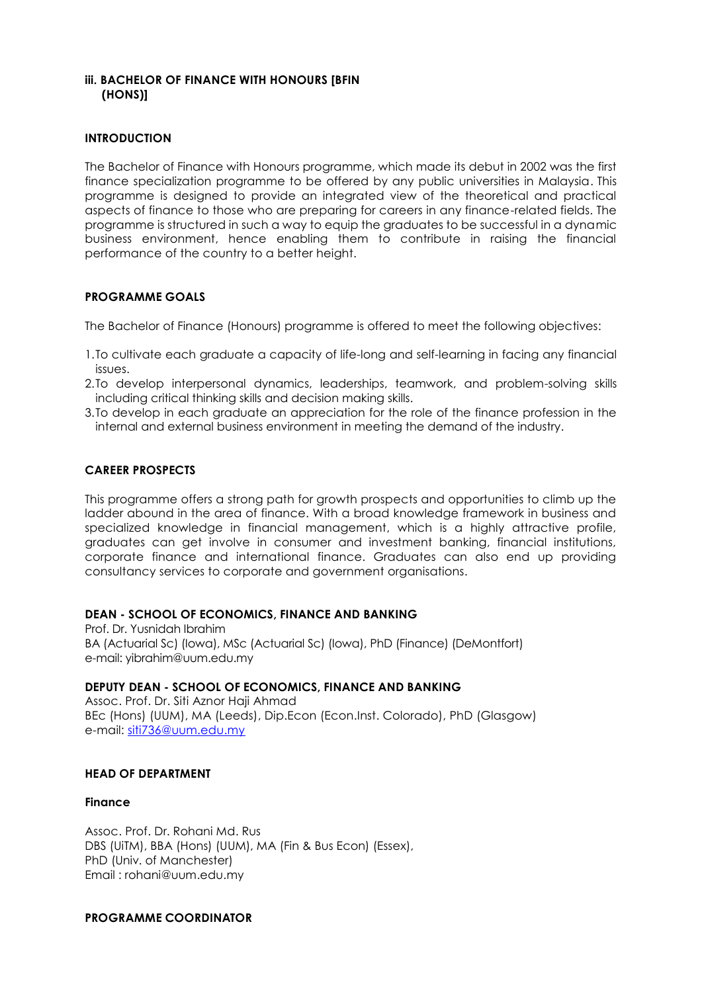## **iii. BACHELOR OF FINANCE WITH HONOURS [BFIN (HONS)]**

## **INTRODUCTION**

The Bachelor of Finance with Honours programme, which made its debut in 2002 was the first finance specialization programme to be offered by any public universities in Malaysia. This programme is designed to provide an integrated view of the theoretical and practical aspects of finance to those who are preparing for careers in any finance-related fields. The programme is structured in such a way to equip the graduates to be successful in a dynamic business environment, hence enabling them to contribute in raising the financial performance of the country to a better height.

## **PROGRAMME GOALS**

The Bachelor of Finance (Honours) programme is offered to meet the following objectives:

- 1.To cultivate each graduate a capacity of life-long and self-learning in facing any financial issues.
- 2.To develop interpersonal dynamics, leaderships, teamwork, and problem-solving skills including critical thinking skills and decision making skills.
- 3.To develop in each graduate an appreciation for the role of the finance profession in the internal and external business environment in meeting the demand of the industry.

## **CAREER PROSPECTS**

This programme offers a strong path for growth prospects and opportunities to climb up the ladder abound in the area of finance. With a broad knowledge framework in business and specialized knowledge in financial management, which is a highly attractive profile, graduates can get involve in consumer and investment banking, financial institutions, corporate finance and international finance. Graduates can also end up providing consultancy services to corporate and government organisations.

### **DEAN - SCHOOL OF ECONOMICS, FINANCE AND BANKING**

Prof. Dr. Yusnidah Ibrahim BA (Actuarial Sc) (Iowa), MSc (Actuarial Sc) (Iowa), PhD (Finance) (DeMontfort) e-mail[: yibrahim@uum.edu.my](mailto:aali@uum.edu.my)

### **DEPUTY DEAN - SCHOOL OF ECONOMICS, FINANCE AND BANKING**

Assoc. Prof. Dr. Siti Aznor Haji Ahmad BEc (Hons) (UUM), MA (Leeds), Dip.Econ (Econ.Inst. Colorado), PhD (Glasgow) e-mail: [siti736@uum.edu.my](mailto:siti736@uum.edu.my)

### **HEAD OF DEPARTMENT**

### **Finance**

Assoc. Prof. Dr. Rohani Md. Rus DBS (UiTM), BBA (Hons) (UUM), MA (Fin & Bus Econ) (Essex), PhD (Univ. of Manchester) Email : [rohani@uum.edu.my](mailto:rohani@uum.edu.my)

### **PROGRAMME COORDINATOR**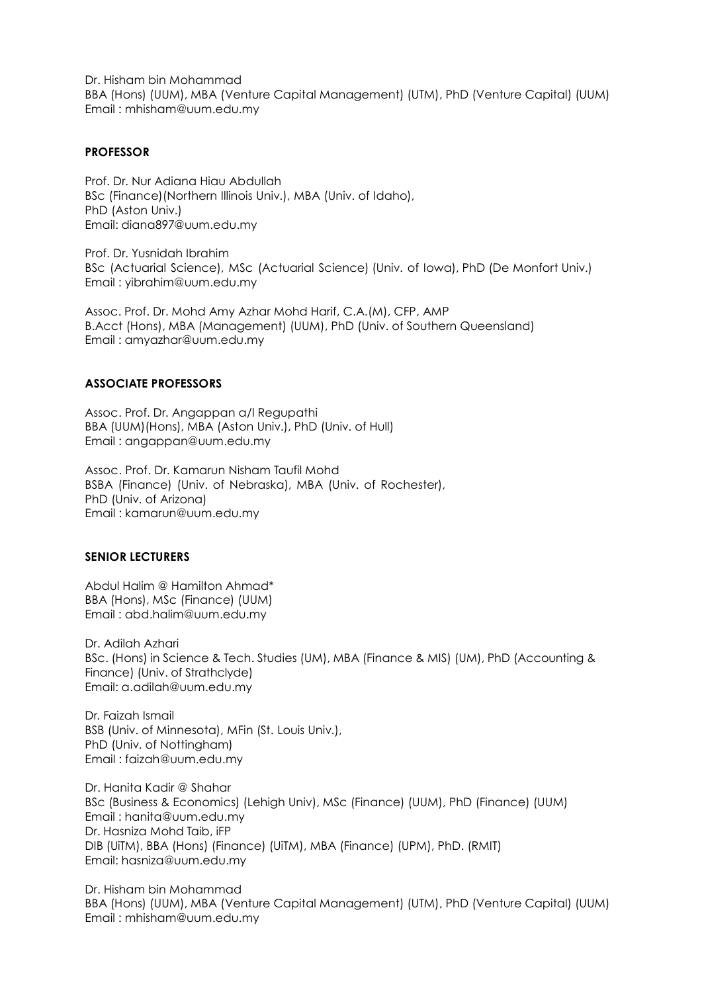Dr. Hisham bin Mohammad BBA (Hons) (UUM), MBA (Venture Capital Management) (UTM), PhD (Venture Capital) (UUM) Email : [mhisham@uum.edu.my](mailto:mhisham@uum.edu.my)

#### **PROFESSOR**

Prof. Dr. Nur Adiana Hiau Abdullah BSc (Finance)(Northern Illinois Univ.), MBA (Univ. of Idaho), PhD (Aston Univ.) Email: [diana897@uum.edu.my](mailto:diana897@uum.edu.my)

Prof. Dr. Yusnidah Ibrahim BSc (Actuarial Science), MSc (Actuarial Science) (Univ. of Iowa), PhD (De Monfort Univ.) Email : [yibrahim@uum.edu.my](mailto:yibrahim@uum.edu.my)

Assoc. Prof. Dr. Mohd Amy Azhar Mohd Harif, C.A.(M), CFP, AMP B.Acct (Hons), MBA (Management) (UUM), PhD (Univ. of Southern Queensland) Email : amyazhar@uum.edu.my

### **ASSOCIATE PROFESSORS**

Assoc. Prof. Dr. Angappan a/l Regupathi BBA (UUM)(Hons), MBA (Aston Univ.), PhD (Univ. of Hull) Email : [angappan@uum.edu.my](mailto:angappan@uum.edu.my)

Assoc. Prof. Dr. Kamarun Nisham Taufil Mohd BSBA (Finance) (Univ. of Nebraska), MBA (Univ. of Rochester), PhD (Univ. of Arizona) Email : [kamarun@uum.edu.my](mailto:kamarun@uum.edu.my)

### **SENIOR LECTURERS**

Abdul Halim @ Hamilton Ahmad\* BBA (Hons), MSc (Finance) (UUM) Email : [abd.halim@uum.edu.my](mailto:abd.halim@uum.edu.my)

Dr. Adilah Azhari BSc. (Hons) in Science & Tech. Studies (UM), MBA (Finance & MIS) (UM), PhD (Accounting & Finance) (Univ. of Strathclyde) Email: [a.adilah@uum.edu.my](mailto:a.adilah@uum.edu.my)

Dr. Faizah Ismail BSB (Univ. of Minnesota), MFin (St. Louis Univ.), PhD (Univ. of Nottingham) Email : [faizah@uum.edu.my](mailto:faizah@uum.edu.my)

Dr. Hanita Kadir @ Shahar BSc (Business & Economics) (Lehigh Univ), MSc (Finance) (UUM), PhD (Finance) (UUM) Email : [hanita@uum.edu.my](mailto:hanita@uum.edu.my) Dr. Hasniza Mohd Taib, iFP DIB (UiTM), BBA (Hons) (Finance) (UiTM), MBA (Finance) (UPM), PhD. (RMIT) Ema[il: hasniza@uum.edu.my](mailto:hasniza@uum.edu.my)

Dr. Hisham bin Mohammad BBA (Hons) (UUM), MBA (Venture Capital Management) (UTM), PhD (Venture Capital) (UUM) Email : [mhisham@uum.edu.my](mailto:mhisham@uum.edu.my)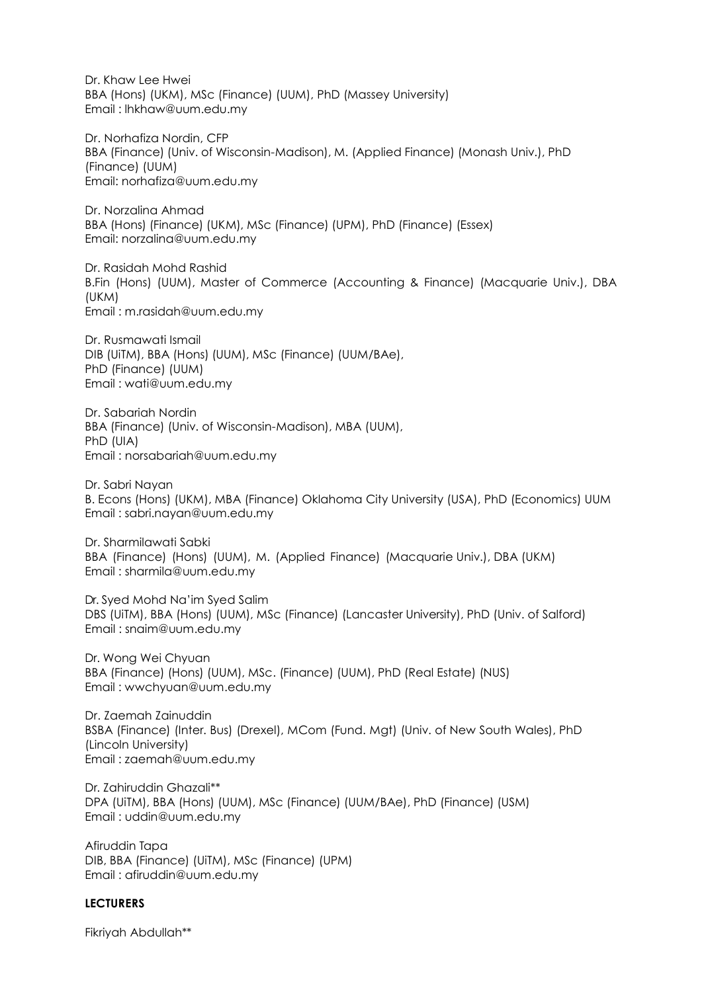Dr. Khaw Lee Hwei BBA (Hons) (UKM), MSc (Finance) (UUM), PhD (Massey University) Email : lhkhaw@uum.edu.my

Dr. Norhafiza Nordin, CFP BBA (Finance) (Univ. of Wisconsin-Madison), M. (Applied Finance) (Monash Univ.), PhD (Finance) (UUM) Email: [norhafiza@uum.edu.my](mailto:norhafiza@uum.edu.my)

Dr. Norzalina Ahmad BBA (Hons) (Finance) (UKM), MSc (Finance) (UPM), PhD (Finance) (Essex) Email: [norzalina@uum.edu.my](mailto:norzalina@uum.edu.my)

Dr. Rasidah Mohd Rashid B.Fin (Hons) (UUM), Master of Commerce (Accounting & Finance) (Macquarie Univ.), DBA (UKM) Email : m.rasidah@uum.edu.my

Dr. Rusmawati Ismail DIB (UiTM), BBA (Hons) (UUM), MSc (Finance) (UUM/BAe), PhD (Finance) (UUM) Email : [wati@uum.edu.my](mailto:wati@uum.edu.my)

Dr. Sabariah Nordin BBA (Finance) (Univ. of Wisconsin-Madison), MBA (UUM), PhD (UIA) Email : [norsabariah@uum.edu.my](mailto:norsabariah@uum.edu.my)

Dr. Sabri Nayan B. Econs (Hons) (UKM), MBA (Finance) Oklahoma City University (USA), PhD (Economics) UUM Email : sabri.nayan@uum.edu.my

Dr. Sharmilawati Sabki BBA (Finance) (Hons) (UUM), M. (Applied Finance) (Macquarie Univ.), DBA (UKM) Email : [sharmila@uum.edu.my](mailto:sharmila@uum.edu.my)

Dr. Syed Mohd Na'im Syed Salim DBS (UiTM), BBA (Hons) (UUM), MSc (Finance) (Lancaster University), PhD (Univ. of Salford) Email : [snaim@uum.edu.my](mailto:snaim@uum.edu.my)

Dr. Wong Wei Chyuan BBA (Finance) (Hons) (UUM), MSc. (Finance) (UUM), PhD (Real Estate) (NUS) Email : [wwchyuan@uum.edu.my](mailto:wwchyuan@uum.edu.my)

Dr. Zaemah Zainuddin BSBA (Finance) (Inter. Bus) (Drexel), MCom (Fund. Mgt) (Univ. of New South Wales), PhD (Lincoln University) Email : [zaemah@uum.edu.my](mailto:zaemah@uum.edu.my)

Dr. Zahiruddin Ghazali\*\* DPA (UiTM), BBA (Hons) (UUM), MSc (Finance) (UUM/BAe), PhD (Finance) (USM) Email : [uddin@uum.edu.my](mailto:uddin@uum.edu.my)

Afiruddin Tapa DIB, BBA (Finance) (UiTM), MSc (Finance) (UPM) Email : [afiruddin@uum.edu.my](mailto:afiruddin@uum.edu.my)

### **LECTURERS**

Fikriyah Abdullah\*\*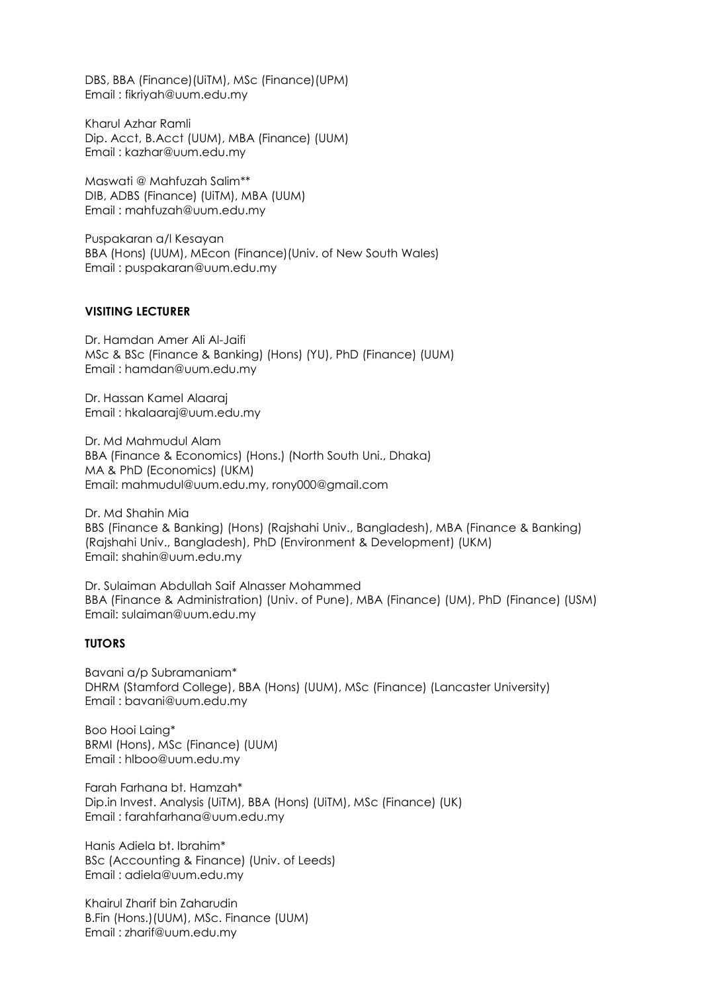DBS, BBA (Finance)(UiTM), MSc (Finance)(UPM) Email : [fikriyah@uum.edu.my](mailto:fikriyah@uum.edu.my)

Kharul Azhar Ramli Dip. Acct, B.Acct (UUM), MBA (Finance) (UUM) Email : [kazhar@uum.edu.my](mailto:kazhar@uum.edu.my)

Maswati @ Mahfuzah Salim\*\* DIB, ADBS (Finance) (UiTM), MBA (UUM) Email : [mahfuzah@uum.edu.my](mailto:mahfuzah@uum.edu.my)

Puspakaran a/l Kesayan BBA (Hons) (UUM), MEcon (Finance)(Univ. of New South Wales) Email : [puspakaran@uum.edu.my](mailto:puspakaran@uum.edu.my)

### **VISITING LECTURER**

Dr. Hamdan Amer Ali Al-Jaifi MSc & BSc (Finance & Banking) (Hons) (YU), PhD (Finance) (UUM) Email : hamdan@uum.edu.my

Dr. Hassan Kamel Alaaraj Email : hkalaaraj@uum.edu.my

Dr. Md Mahmudul Alam BBA (Finance & Economics) (Hons.) (North South Uni., Dhaka) MA & PhD (Economics) (UKM) Email: mahmudul@uum.edu.my, rony000@gmail.com

Dr. Md Shahin Mia BBS (Finance & Banking) (Hons) (Rajshahi Univ., Bangladesh), MBA (Finance & Banking) (Rajshahi Univ., Bangladesh), PhD (Environment & Development) (UKM) Email: shahin@uum.edu.my

Dr. Sulaiman Abdullah Saif Alnasser Mohammed BBA (Finance & Administration) (Univ. of Pune), MBA (Finance) (UM), PhD (Finance) (USM) Email: sulaiman@uum.edu.my

#### **TUTORS**

Bavani a/p Subramaniam\* DHRM (Stamford College), BBA (Hons) (UUM), MSc (Finance) (Lancaster University) Email : bavani@uum.edu.my

Boo Hooi Laing\* BRMI (Hons), MSc (Finance) (UUM) Email : hlboo@uum.edu.my

Farah Farhana bt. Hamzah\* Dip.in Invest. Analysis (UiTM), BBA (Hons) (UiTM), MSc (Finance) (UK) Email : [farahfarhana@uum.edu.my](mailto:farahfarhana@uum.edu.my)

Hanis Adiela bt. Ibrahim\* BSc (Accounting & Finance) (Univ. of Leeds) Email : adiela@uum.edu.my

Khairul Zharif bin Zaharudin B.Fin (Hons.)(UUM), MSc. Finance (UUM) Email : zharif@uum.edu.my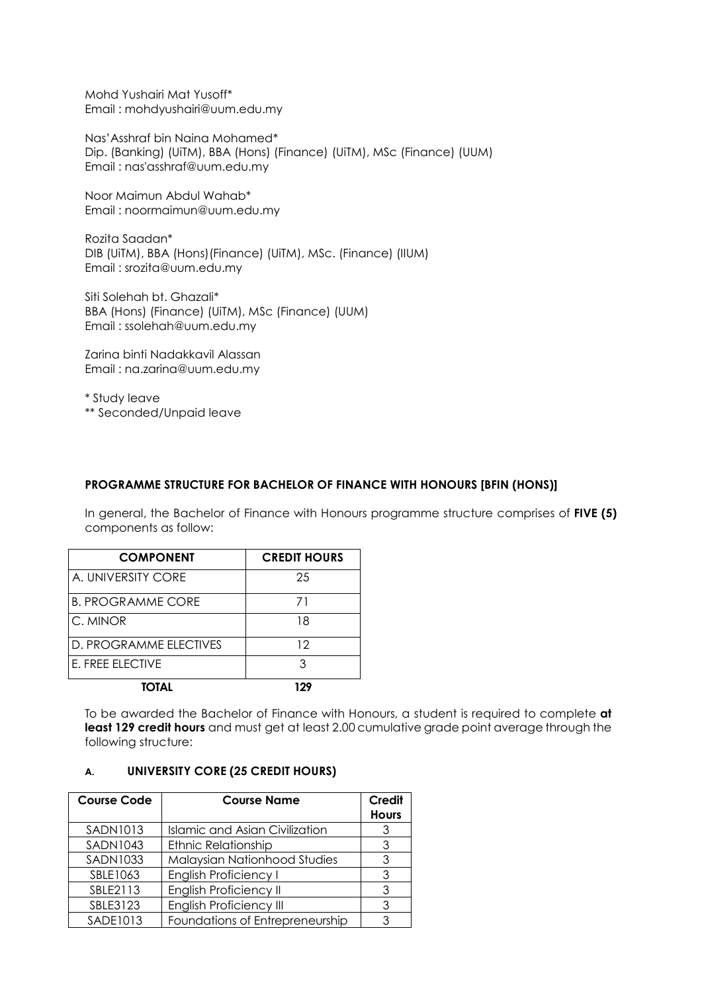Mohd Yushairi Mat Yusoff\* Email : mohdyushairi@uum.edu.my

Nas'Asshraf bin Naina Mohamed\* Dip. (Banking) (UiTM), BBA (Hons) (Finance) (UiTM), MSc (Finance) (UUM) Email : nas'asshraf@uum.edu.my

Noor Maimun Abdul Wahab\* Email : noormaimun@uum.edu.my

Rozita Saadan\* DIB (UiTM), BBA (Hons)(Finance) (UiTM), MSc. (Finance) (IIUM) Email : srozita@uum.edu.my

Siti Solehah bt. Ghazali\* BBA (Hons) (Finance) (UiTM), MSc (Finance) (UUM) Email : ssolehah@uum.edu.my

Zarina binti Nadakkavil Alassan Email : na.zarina@uum.edu.my

\* Study leave \*\* Seconded/Unpaid leave

# **PROGRAMME STRUCTURE FOR BACHELOR OF FINANCE WITH HONOURS [BFIN (HONS)]**

In general, the Bachelor of Finance with Honours programme structure comprises of **FIVE (5)** components as follow:

| <b>COMPONENT</b>         | <b>CREDIT HOURS</b> |
|--------------------------|---------------------|
| A. UNIVERSITY CORE       | 25                  |
| <b>B. PROGRAMME CORE</b> | 71                  |
| C. MINOR                 | 18                  |
| D. PROGRAMME ELECTIVES   | 12                  |
| E. FREE ELECTIVE         | ঽ                   |
| TOTAL                    |                     |

To be awarded the Bachelor of Finance with Honours, a student is required to complete **at least 129 credit hours** and must get at least 2.00 cumulative grade point average through the following structure:

# **A. UNIVERSITY CORE (25 CREDIT HOURS)**

| <b>Course Code</b> | <b>Course Name</b>                  | <b>Credit</b><br><b>Hours</b> |
|--------------------|-------------------------------------|-------------------------------|
| <b>SADN1013</b>    | Islamic and Asian Civilization      |                               |
| <b>SADN1043</b>    | <b>Ethnic Relationship</b>          |                               |
| <b>SADN1033</b>    | <b>Malaysian Nationhood Studies</b> |                               |
| SBLE1063           | <b>English Proficiency I</b>        |                               |
| SBLE2113           | <b>English Proficiency II</b>       |                               |
| SBLE3123           | <b>English Proficiency III</b>      |                               |
| SADE1013           | Foundations of Entrepreneurship     |                               |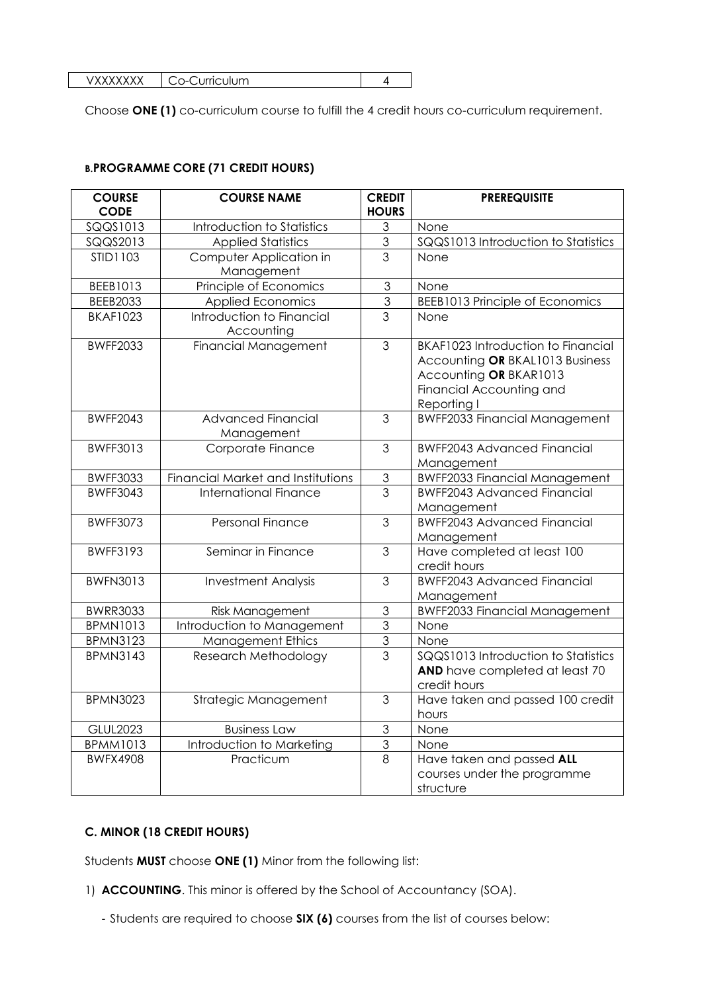| u ili im<br>.<br>и<br>$-1$ |  |
|----------------------------|--|

Choose **ONE (1)** co-curriculum course to fulfill the 4 credit hours co-curriculum requirement.

# **B.PROGRAMME CORE (71 CREDIT HOURS)**

| <b>COURSE</b><br><b>CODE</b> | <b>COURSE NAME</b>                      | <b>CREDIT</b><br><b>HOURS</b> | <b>PREREQUISITE</b>                                                                                                                               |
|------------------------------|-----------------------------------------|-------------------------------|---------------------------------------------------------------------------------------------------------------------------------------------------|
| SQQS1013                     | Introduction to Statistics              | 3                             | None                                                                                                                                              |
| SQQS2013                     | <b>Applied Statistics</b>               | $\overline{3}$                | SQQS1013 Introduction to Statistics                                                                                                               |
| STID1103                     | Computer Application in<br>Management   | 3                             | None                                                                                                                                              |
| BEEB1013                     | Principle of Economics                  | 3                             | None                                                                                                                                              |
| <b>BEEB2033</b>              | <b>Applied Economics</b>                | 3                             | <b>BEEB1013 Principle of Economics</b>                                                                                                            |
| <b>BKAF1023</b>              | Introduction to Financial<br>Accounting | $\overline{3}$                | None                                                                                                                                              |
| <b>BWFF2033</b>              | Financial Management                    | 3                             | <b>BKAF1023 Introduction to Financial</b><br>Accounting OR BKAL1013 Business<br>Accounting OR BKAR1013<br>Financial Accounting and<br>Reporting I |
| <b>BWFF2043</b>              | <b>Advanced Financial</b><br>Management | 3                             | <b>BWFF2033 Financial Management</b>                                                                                                              |
| <b>BWFF3013</b>              | Corporate Finance                       | 3                             | <b>BWFF2043 Advanced Financial</b><br>Management                                                                                                  |
| <b>BWFF3033</b>              | Financial Market and Institutions       | $\mathfrak 3$                 | <b>BWFF2033 Financial Management</b>                                                                                                              |
| <b>BWFF3043</b>              | International Finance                   | $\overline{3}$                | <b>BWFF2043 Advanced Financial</b><br>Management                                                                                                  |
| <b>BWFF3073</b>              | Personal Finance                        | 3                             | <b>BWFF2043 Advanced Financial</b><br>Management                                                                                                  |
| <b>BWFF3193</b>              | Seminar in Finance                      | 3                             | Have completed at least 100<br>credit hours                                                                                                       |
| <b>BWFN3013</b>              | <b>Investment Analysis</b>              | 3                             | <b>BWFF2043 Advanced Financial</b><br>Management                                                                                                  |
| <b>BWRR3033</b>              | Risk Management                         | 3                             | <b>BWFF2033 Financial Management</b>                                                                                                              |
| <b>BPMN1013</b>              | Introduction to Management              | $\overline{3}$                | None                                                                                                                                              |
| <b>BPMN3123</b>              | <b>Management Ethics</b>                | 3                             | None                                                                                                                                              |
| <b>BPMN3143</b>              | Research Methodology                    | $\overline{3}$                | SQQS1013 Introduction to Statistics<br>AND have completed at least 70<br>credit hours                                                             |
| <b>BPMN3023</b>              | Strategic Management                    | 3                             | Have taken and passed 100 credit<br>hours                                                                                                         |
| <b>GLUL2023</b>              | <b>Business Law</b>                     | $\mathfrak 3$                 | None                                                                                                                                              |
| <b>BPMM1013</b>              | Introduction to Marketing               | $\ensuremath{\mathsf{3}}$     | None                                                                                                                                              |
| <b>BWFX4908</b>              | Practicum                               | 8                             | Have taken and passed ALL<br>courses under the programme<br>structure                                                                             |

# **C. MINOR (18 CREDIT HOURS)**

Students **MUST** choose **ONE (1)** Minor from the following list:

- 1) **ACCOUNTING**. This minor is offered by the School of Accountancy (SOA).
	- Students are required to choose **SIX (6)** courses from the list of courses below: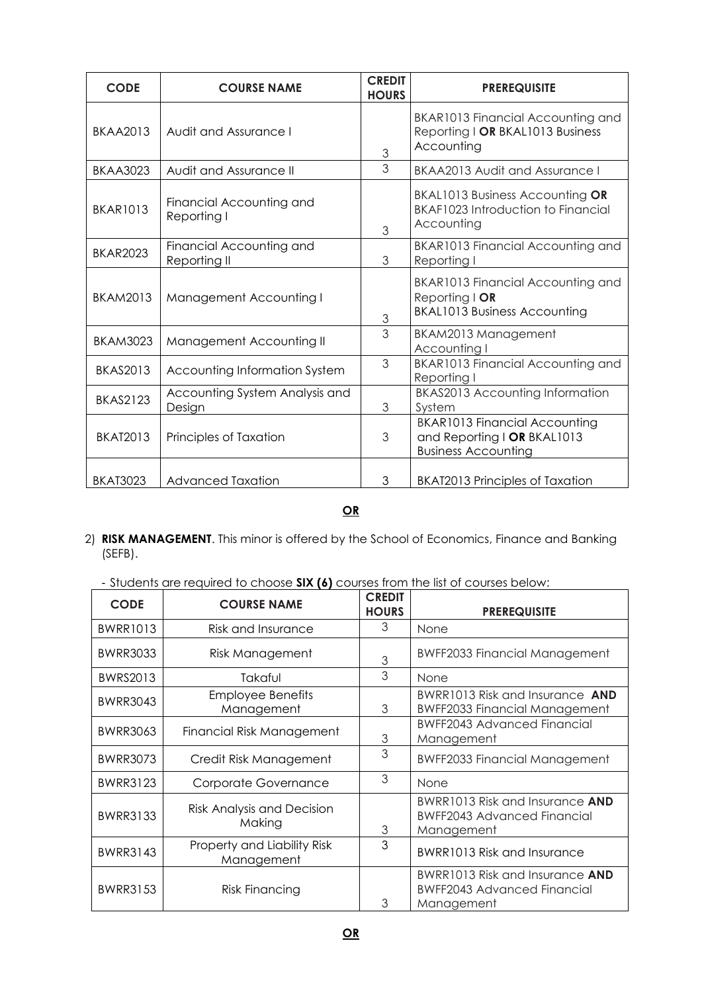| <b>CODE</b>     | <b>COURSE NAME</b>                       | <b>CREDIT</b><br><b>HOURS</b> | <b>PREREQUISITE</b>                                                                               |
|-----------------|------------------------------------------|-------------------------------|---------------------------------------------------------------------------------------------------|
| <b>BKAA2013</b> | Audit and Assurance I                    | 3                             | BKAR1013 Financial Accounting and<br>Reporting I OR BKAL1013 Business<br>Accounting               |
| <b>BKAA3023</b> | Audit and Assurance II                   | 3                             | BKAA2013 Audit and Assurance I                                                                    |
| <b>BKAR1013</b> | Financial Accounting and<br>Reporting I  | 3                             | BKAL1013 Business Accounting OR<br><b>BKAF1023 Introduction to Financial</b><br>Accounting        |
| <b>BKAR2023</b> | Financial Accounting and<br>Reporting II | 3                             | BKAR1013 Financial Accounting and<br>Reporting I                                                  |
| <b>BKAM2013</b> | <b>Management Accounting I</b>           | $\ensuremath{\mathsf{3}}$     | BKAR1013 Financial Accounting and<br>Reporting I OR<br><b>BKAL1013 Business Accounting</b>        |
| <b>BKAM3023</b> | Management Accounting II                 | $\overline{3}$                | BKAM2013 Management<br>Accounting I                                                               |
| <b>BKAS2013</b> | Accounting Information System            | 3                             | BKAR1013 Financial Accounting and<br>Reporting I                                                  |
| <b>BKAS2123</b> | Accounting System Analysis and<br>Design | 3                             | <b>BKAS2013 Accounting Information</b><br>System                                                  |
| <b>BKAT2013</b> | Principles of Taxation                   | 3                             | <b>BKAR1013 Financial Accounting</b><br>and Reporting I OR BKAL1013<br><b>Business Accounting</b> |
| <b>BKAT3023</b> | <b>Advanced Taxation</b>                 | 3                             | <b>BKAT2013 Principles of Taxation</b>                                                            |

# **OR**

- 2) **RISK MANAGEMENT**. This minor is offered by the School of Economics, Finance and Banking (SEFB).
	- Students are required to choose **SIX (6)** courses from the list of courses below:

| <b>CODE</b>     | <b>COURSE NAME</b>                          | <b>CREDIT</b><br><b>HOURS</b> | <b>PREREQUISITE</b>                                                                 |
|-----------------|---------------------------------------------|-------------------------------|-------------------------------------------------------------------------------------|
| <b>BWRR1013</b> | Risk and Insurance                          | 3                             | None                                                                                |
| <b>BWRR3033</b> | Risk Management                             | 3                             | <b>BWFF2033 Financial Management</b>                                                |
| BWRS2013        | Takaful                                     | 3                             | None                                                                                |
| <b>BWRR3043</b> | <b>Employee Benefits</b><br>Management      | 3                             | BWRR1013 Risk and Insurance AND<br><b>BWFF2033 Financial Management</b>             |
| <b>BWRR3063</b> | Financial Risk Management                   | 3                             | <b>BWFF2043 Advanced Financial</b><br>Management                                    |
| <b>BWRR3073</b> | Credit Risk Management                      | 3                             | <b>BWFF2033 Financial Management</b>                                                |
| <b>BWRR3123</b> | Corporate Governance                        | 3                             | None                                                                                |
| <b>BWRR3133</b> | <b>Risk Analysis and Decision</b><br>Making | 3                             | BWRR1013 Risk and Insurance AND<br><b>BWFF2043 Advanced Financial</b><br>Management |
| <b>BWRR3143</b> | Property and Liability Risk<br>Management   | 3                             | BWRR1013 Risk and Insurance                                                         |
| <b>BWRR3153</b> | <b>Risk Financing</b>                       | 3                             | BWRR1013 Risk and Insurance AND<br><b>BWFF2043 Advanced Financial</b><br>Management |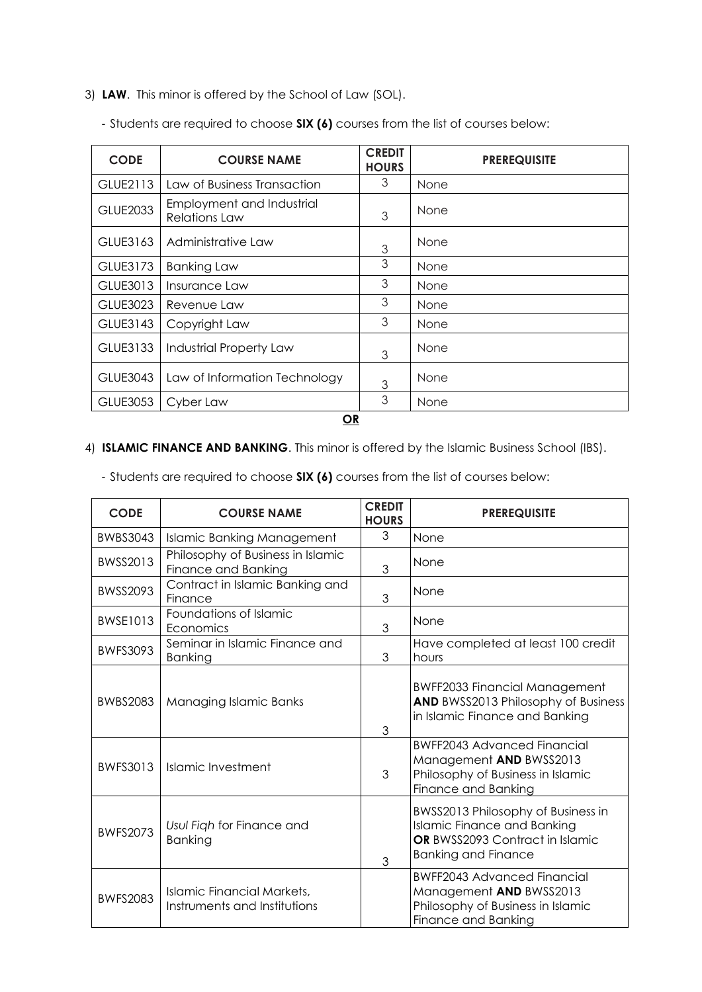3) **LAW**. This minor is offered by the School of Law (SOL).

| <b>CODE</b>     | <b>COURSE NAME</b>                                | <b>CREDIT</b><br><b>HOURS</b> | <b>PREREQUISITE</b> |  |
|-----------------|---------------------------------------------------|-------------------------------|---------------------|--|
| GLUE2113        | Law of Business Transaction                       | 3                             | None                |  |
| <b>GLUE2033</b> | Employment and Industrial<br><b>Relations Law</b> | 3                             | None                |  |
| GLUE3163        | Administrative Law                                | 3                             | None                |  |
| GLUE3173        | <b>Banking Law</b>                                | 3                             | None                |  |
| GLUE3013        | Insurance Law                                     | 3                             | None                |  |
| GLUE3023        | Revenue Law                                       | 3                             | None                |  |
| GLUE3143        | Copyright Law                                     | 3                             | None                |  |
| GLUE3133        | <b>Industrial Property Law</b>                    | 3                             | None                |  |
| GLUE3043        | Law of Information Technology                     | 3                             | None                |  |
| GLUE3053        | Cyber Law                                         | 3                             | None                |  |
| <b>OR</b>       |                                                   |                               |                     |  |

- Students are required to choose **SIX (6)** courses from the list of courses below:

# 4) **ISLAMIC FINANCE AND BANKING**. This minor is offered by the Islamic Business School (IBS).

- Students are required to choose **SIX (6)** courses from the list of courses below:

| <b>CODE</b>     | <b>COURSE NAME</b>                                                | <b>CREDIT</b><br><b>HOURS</b> | <b>PREREQUISITE</b>                                                                                                                       |
|-----------------|-------------------------------------------------------------------|-------------------------------|-------------------------------------------------------------------------------------------------------------------------------------------|
| <b>BWBS3043</b> | <b>Islamic Banking Management</b>                                 | 3                             | None                                                                                                                                      |
| BWSS2013        | Philosophy of Business in Islamic<br>Finance and Banking          | 3                             | None                                                                                                                                      |
| BWSS2093        | Contract in Islamic Banking and<br>Finance                        | 3                             | None                                                                                                                                      |
| <b>BWSE1013</b> | Foundations of Islamic<br>Economics                               | 3                             | None                                                                                                                                      |
| <b>BWFS3093</b> | Seminar in Islamic Finance and<br><b>Banking</b>                  | 3                             | Have completed at least 100 credit<br>hours                                                                                               |
| <b>BWBS2083</b> | Managing Islamic Banks                                            | 3                             | <b>BWFF2033 Financial Management</b><br><b>AND BWSS2013 Philosophy of Business</b><br>in Islamic Finance and Banking                      |
| <b>BWFS3013</b> | Islamic Investment                                                | 3                             | <b>BWFF2043 Advanced Financial</b><br>Management AND BWSS2013<br>Philosophy of Business in Islamic<br>Finance and Banking                 |
| <b>BWFS2073</b> | Usul Figh for Finance and<br><b>Banking</b>                       | 3                             | BWSS2013 Philosophy of Business in<br><b>Islamic Finance and Banking</b><br>OR BWSS2093 Contract in Islamic<br><b>Banking and Finance</b> |
| <b>BWFS2083</b> | <b>Islamic Financial Markets,</b><br>Instruments and Institutions |                               | <b>BWFF2043 Advanced Financial</b><br>Management AND BWSS2013<br>Philosophy of Business in Islamic<br>Finance and Banking                 |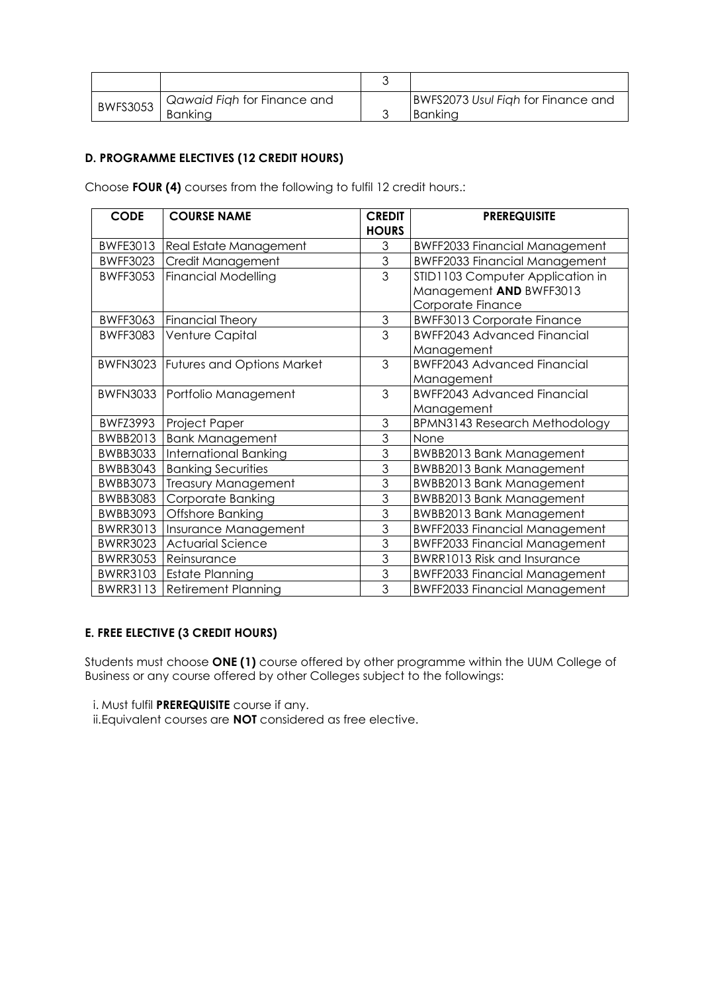| <b>BWFS3053</b> | Qawaid Figh for Finance and | BWFS2073 Usul Figh for Finance and |
|-----------------|-----------------------------|------------------------------------|
|                 | <b>Banking</b>              | Bankina                            |

# **D. PROGRAMME ELECTIVES (12 CREDIT HOURS)**

Choose **FOUR (4)** courses from the following to fulfil 12 credit hours.:

| <b>CODE</b>     | <b>COURSE NAME</b>                         | <b>CREDIT</b>  | <b>PREREQUISITE</b>                  |
|-----------------|--------------------------------------------|----------------|--------------------------------------|
|                 |                                            | <b>HOURS</b>   |                                      |
| <b>BWFE3013</b> | Real Estate Management                     | 3              | <b>BWFF2033 Financial Management</b> |
| <b>BWFF3023</b> | Credit Management                          | $\overline{3}$ | <b>BWFF2033 Financial Management</b> |
| <b>BWFF3053</b> | <b>Financial Modelling</b>                 | $\overline{3}$ | STID1103 Computer Application in     |
|                 |                                            |                | Management AND BWFF3013              |
|                 |                                            |                | Corporate Finance                    |
| <b>BWFF3063</b> | Financial Theory                           | $\mathfrak{S}$ | <b>BWFF3013 Corporate Finance</b>    |
| <b>BWFF3083</b> | Venture Capital                            | 3              | <b>BWFF2043 Advanced Financial</b>   |
|                 |                                            |                | Management                           |
|                 | <b>BWFN3023 Futures and Options Market</b> | 3              | <b>BWFF2043 Advanced Financial</b>   |
|                 |                                            |                | Management                           |
| BWFN3033        | Portfolio Management                       | 3              | <b>BWFF2043 Advanced Financial</b>   |
|                 |                                            |                | Management                           |
| <b>BWFZ3993</b> | Project Paper                              | 3              | BPMN3143 Research Methodology        |
| BWBB2013        | <b>Bank Management</b>                     | 3              | None                                 |
| <b>BWBB3033</b> | <b>International Banking</b>               | 3              | <b>BWBB2013 Bank Management</b>      |
| BWBB3043        | <b>Banking Securities</b>                  | 3              | <b>BWBB2013 Bank Management</b>      |
| <b>BWBB3073</b> | <b>Treasury Management</b>                 | 3              | <b>BWBB2013 Bank Management</b>      |
| BWBB3083        | Corporate Banking                          | 3              | <b>BWBB2013 Bank Management</b>      |
| BWBB3093        | Offshore Banking                           | 3              | <b>BWBB2013 Bank Management</b>      |
| <b>BWRR3013</b> | Insurance Management                       | 3              | <b>BWFF2033 Financial Management</b> |
| <b>BWRR3023</b> | <b>Actuarial Science</b>                   | 3              | <b>BWFF2033 Financial Management</b> |
| BWRR3053        | Reinsurance                                | 3              | <b>BWRR1013 Risk and Insurance</b>   |
| <b>BWRR3103</b> | <b>Estate Planning</b>                     | 3              | <b>BWFF2033 Financial Management</b> |
| <b>BWRR3113</b> | <b>Retirement Planning</b>                 | 3              | <b>BWFF2033 Financial Management</b> |

# **E. FREE ELECTIVE (3 CREDIT HOURS)**

Students must choose **ONE (1)** course offered by other programme within the UUM College of Business or any course offered by other Colleges subject to the followings:

i. Must fulfil **PREREQUISITE** course if any.

ii.Equivalent courses are **NOT** considered as free elective.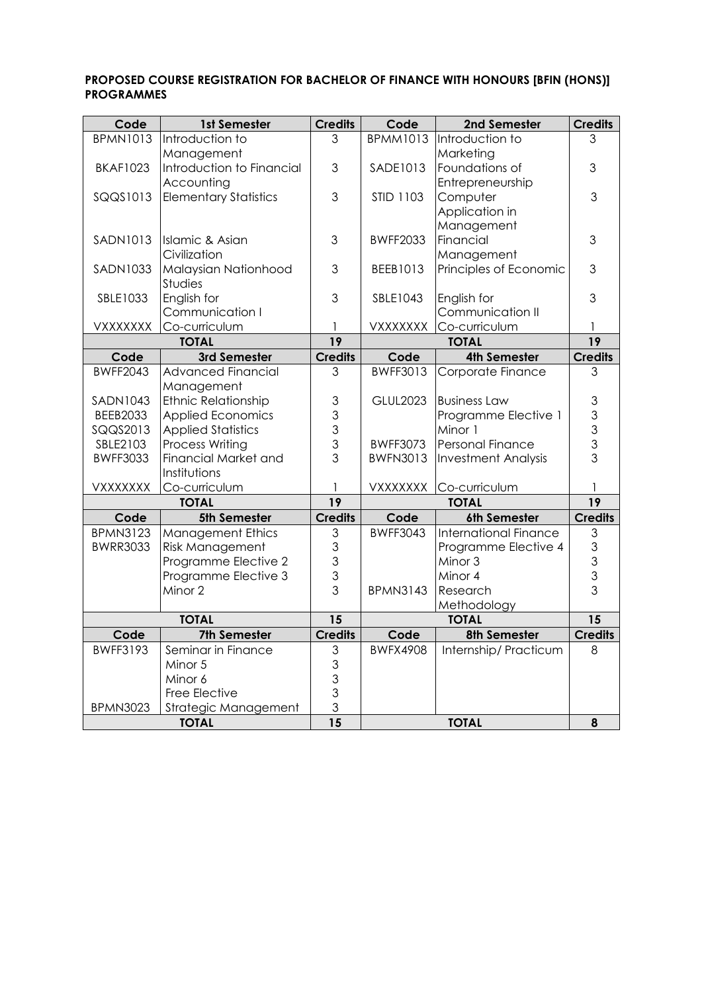# **PROPOSED COURSE REGISTRATION FOR BACHELOR OF FINANCE WITH HONOURS [BFIN (HONS)] PROGRAMMES**

| Code            | 1st Semester                         | <b>Credits</b>  | Code             | 2nd Semester                 | <b>Credits</b>                        |
|-----------------|--------------------------------------|-----------------|------------------|------------------------------|---------------------------------------|
| <b>BPMN1013</b> | Introduction to                      | 3               | <b>BPMM1013</b>  | Introduction to              | 3                                     |
|                 | Management                           |                 |                  | Marketing                    |                                       |
| <b>BKAF1023</b> | Introduction to Financial            | 3               | SADE1013         | Foundations of               | 3                                     |
|                 | Accounting                           |                 |                  | Entrepreneurship             |                                       |
| SQQS1013        | <b>Elementary Statistics</b>         | 3               | <b>STID 1103</b> | Computer                     | 3                                     |
|                 |                                      |                 |                  | Application in               |                                       |
|                 |                                      |                 |                  | Management                   |                                       |
| <b>SADN1013</b> | Islamic & Asian                      | 3               | <b>BWFF2033</b>  | Financial                    | 3                                     |
|                 | Civilization                         |                 |                  | Management                   |                                       |
| SADN1033        | Malaysian Nationhood                 | 3               | BEEB1013         | Principles of Economic       | 3                                     |
|                 | Studies                              |                 |                  |                              |                                       |
| SBLE1033        | English for                          | 3               | SBLE1043         | English for                  | 3                                     |
|                 | Communication I                      |                 |                  | Communication II             |                                       |
| VXXXXXXX        | Co-curriculum                        | 1               | VXXXXXXX         | Co-curriculum                |                                       |
|                 | <b>TOTAL</b>                         | $\overline{19}$ |                  | <b>TOTAL</b>                 | $\overline{19}$                       |
| Code            | 3rd Semester                         | <b>Credits</b>  | Code             | 4th Semester                 | <b>Credits</b>                        |
| <b>BWFF2043</b> | <b>Advanced Financial</b>            | 3               | <b>BWFF3013</b>  | Corporate Finance            | 3                                     |
|                 | Management                           |                 |                  |                              |                                       |
| <b>SADN1043</b> | <b>Ethnic Relationship</b>           | $\mathfrak 3$   | <b>GLUL2023</b>  | <b>Business Law</b>          | $\mathfrak 3$                         |
| <b>BEEB2033</b> | <b>Applied Economics</b>             | 3               |                  | Programme Elective 1         |                                       |
| SQQS2013        | <b>Applied Statistics</b>            | 3               |                  | Minor 1                      | $\begin{array}{c} 3 \\ 3 \end{array}$ |
| SBLE2103        | <b>Process Writing</b>               | 3               | <b>BWFF3073</b>  | Personal Finance             | $\overline{3}$                        |
| <b>BWFF3033</b> | <b>Financial Market and</b>          | 3               | <b>BWFN3013</b>  | <b>Investment Analysis</b>   |                                       |
|                 | Institutions                         |                 |                  |                              |                                       |
| VXXXXXXX        | Co-curriculum                        | $\mathbf{1}$    | VXXXXXXX         | Co-curriculum                | 1                                     |
|                 | <b>TOTAL</b>                         | 19              |                  | <b>TOTAL</b>                 | 19                                    |
| Code            | 5th Semester                         | <b>Credits</b>  | Code             | 6th Semester                 | <b>Credits</b>                        |
| <b>BPMN3123</b> | <b>Management Ethics</b>             | 3               | <b>BWFF3043</b>  | <b>International Finance</b> | 3                                     |
| <b>BWRR3033</b> | <b>Risk Management</b>               | 3               |                  | Programme Elective 4         | $\mathfrak{S}$<br>$\overline{3}$      |
|                 | Programme Elective 2                 | 3               |                  | Minor 3                      |                                       |
|                 | Programme Elective 3                 | 3<br>3          |                  | Minor 4                      | $\mathfrak{S}$<br>$\overline{3}$      |
|                 | Minor 2                              |                 | <b>BPMN3143</b>  | Research                     |                                       |
|                 | <b>TOTAL</b>                         | 15              |                  | Methodology                  | $\overline{15}$                       |
|                 |                                      |                 | <b>TOTAL</b>     |                              |                                       |
| Code            | 7th Semester                         | <b>Credits</b>  | Code             | 8th Semester                 | <b>Credits</b>                        |
| <b>BWFF3193</b> | Seminar in Finance                   | $\mathfrak 3$   | <b>BWFX4908</b>  | Internship/ Practicum        | 8                                     |
|                 | Minor 5                              | 3               |                  |                              |                                       |
|                 | Minor 6                              | 3               |                  |                              |                                       |
|                 | Free Elective                        | 3<br>3          |                  |                              |                                       |
| <b>BPMN3023</b> | Strategic Management<br><b>TOTAL</b> | $\overline{15}$ |                  | <b>TOTAL</b>                 | 8                                     |
|                 |                                      |                 |                  |                              |                                       |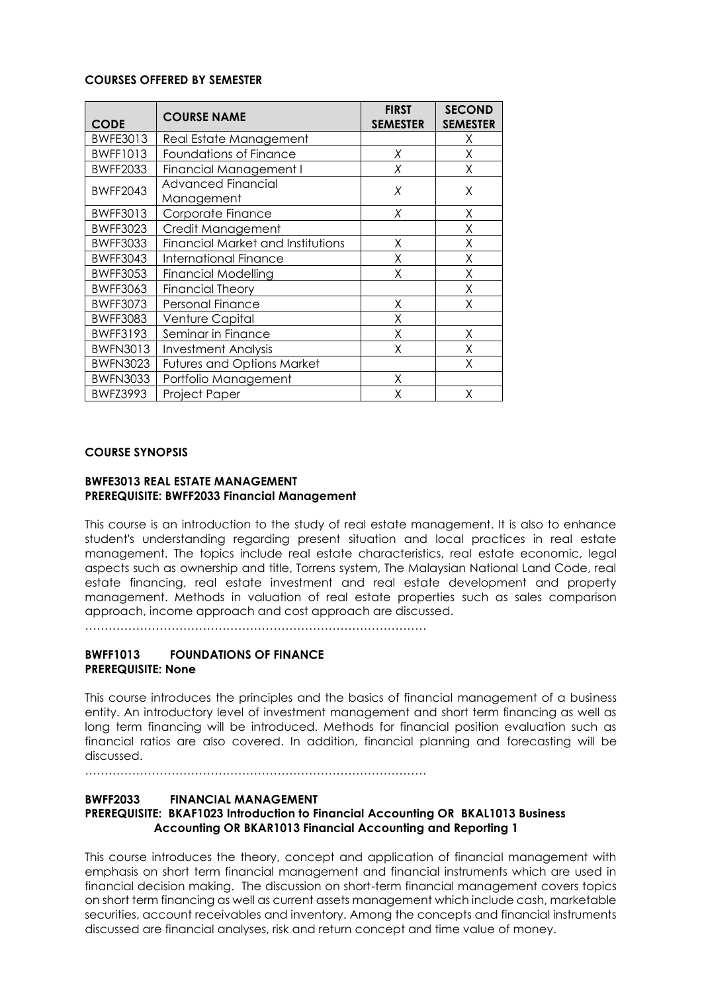### **COURSES OFFERED BY SEMESTER**

| <b>CODE</b>     | <b>COURSE NAME</b>                      | <b>FIRST</b><br><b>SEMESTER</b> | <b>SECOND</b><br><b>SEMESTER</b> |
|-----------------|-----------------------------------------|---------------------------------|----------------------------------|
| BWFE3013        | Real Estate Management                  |                                 | X                                |
| <b>BWFF1013</b> | Foundations of Finance                  | Χ                               | X                                |
| <b>BWFF2033</b> | Financial Management I                  | Χ                               | Χ                                |
| <b>BWFF2043</b> | <b>Advanced Financial</b><br>Management | X                               | X                                |
| <b>BWFF3013</b> | Corporate Finance                       | X                               | X                                |
| <b>BWFF3023</b> | Credit Management                       |                                 | Χ                                |
| <b>BWFF3033</b> | Financial Market and Institutions       | Χ                               | Χ                                |
| <b>BWFF3043</b> | <b>International Finance</b>            | Χ                               | Χ                                |
| <b>BWFF3053</b> | <b>Financial Modelling</b>              | Χ                               | X                                |
| <b>BWFF3063</b> | <b>Financial Theory</b>                 |                                 | Χ                                |
| <b>BWFF3073</b> | Personal Finance                        | Χ                               | X                                |
| <b>BWFF3083</b> | Venture Capital                         | Χ                               |                                  |
| <b>BWFF3193</b> | Seminar in Finance                      | Χ                               | Χ                                |
| <b>BWFN3013</b> | <b>Investment Analysis</b>              | χ                               | Χ                                |
| <b>BWFN3023</b> | <b>Futures and Options Market</b>       |                                 | Χ                                |
| <b>BWFN3033</b> | Portfolio Management                    | Χ                               |                                  |
| <b>BWFZ3993</b> | Project Paper                           | χ                               | Χ                                |

### **COURSE SYNOPSIS**

#### **BWFE3013 REAL ESTATE MANAGEMENT PREREQUISITE: BWFF2033 Financial Management**

This course is an introduction to the study of real estate management. It is also to enhance student's understanding regarding present situation and local practices in real estate management. The topics include real estate characteristics, real estate economic, legal aspects such as ownership and title, Torrens system, The Malaysian National Land Code, real estate financing, real estate investment and real estate development and property management. Methods in valuation of real estate properties such as sales comparison approach, income approach and cost approach are discussed.

 $\mathbb{R}^n$  . The contract of the contract of the contract of the contract of the contract of the contract of the contract of the contract of the contract of the contract of the contract of the contract of the contract of

## **BWFF1013 FOUNDATIONS OF FINANCE PREREQUISITE: None**

This course introduces the principles and the basics of financial management of a business entity. An introductory level of investment management and short term financing as well as long term financing will be introduced. Methods for financial position evaluation such as financial ratios are also covered. In addition, financial planning and forecasting will be discussed.

……………………………………………………………………………

## **BWFF2033 FINANCIAL MANAGEMENT PREREQUISITE: BKAF1023 Introduction to Financial Accounting OR BKAL1013 Business Accounting OR BKAR1013 Financial Accounting and Reporting 1**

This course introduces the theory, concept and application of financial management with emphasis on short term financial management and financial instruments which are used in financial decision making. The discussion on short-term financial management covers topics on short term financing as well as current assets management which include cash, marketable securities, account receivables and inventory. Among the concepts and financial instruments discussed are financial analyses, risk and return concept and time value of money.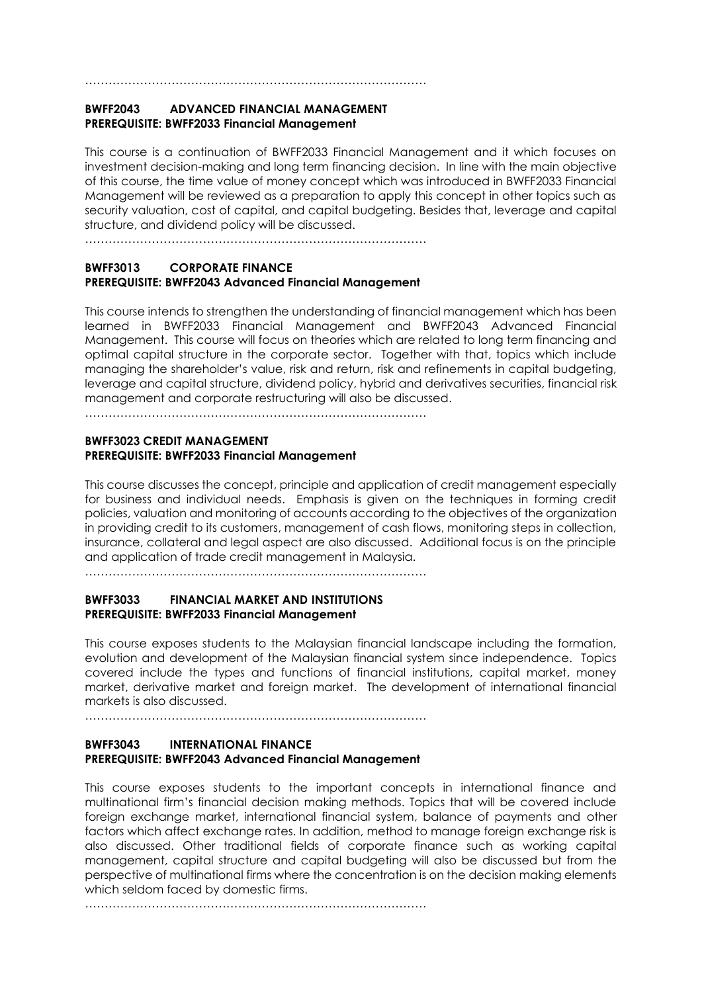# **BWFF2043 ADVANCED FINANCIAL MANAGEMENT PREREQUISITE: BWFF2033 Financial Management**

……………………………………………………………………………

This course is a continuation of BWFF2033 Financial Management and it which focuses on investment decision-making and long term financing decision. In line with the main objective of this course, the time value of money concept which was introduced in BWFF2033 Financial Management will be reviewed as a preparation to apply this concept in other topics such as security valuation, cost of capital, and capital budgeting. Besides that, leverage and capital structure, and dividend policy will be discussed.

……………………………………………………………………………

### **BWFF3013 CORPORATE FINANCE PREREQUISITE: BWFF2043 Advanced Financial Management**

This course intends to strengthen the understanding of financial management which has been learned in BWFF2033 Financial Management and BWFF2043 Advanced Financial Management. This course will focus on theories which are related to long term financing and optimal capital structure in the corporate sector. Together with that, topics which include managing the shareholder's value, risk and return, risk and refinements in capital budgeting, leverage and capital structure, dividend policy, hybrid and derivatives securities, financial risk management and corporate restructuring will also be discussed.

……………………………………………………………………………

#### **BWFF3023 CREDIT MANAGEMENT PREREQUISITE: BWFF2033 Financial Management**

This course discusses the concept, principle and application of credit management especially for business and individual needs. Emphasis is given on the techniques in forming credit policies, valuation and monitoring of accounts according to the objectives of the organization in providing credit to its customers, management of cash flows, monitoring steps in collection, insurance, collateral and legal aspect are also discussed. Additional focus is on the principle and application of trade credit management in Malaysia.

……………………………………………………………………………

## **BWFF3033 FINANCIAL MARKET AND INSTITUTIONS PREREQUISITE: BWFF2033 Financial Management**

This course exposes students to the Malaysian financial landscape including the formation, evolution and development of the Malaysian financial system since independence. Topics covered include the types and functions of financial institutions, capital market, money market, derivative market and foreign market. The development of international financial markets is also discussed.

……………………………………………………………………………

#### **BWFF3043 INTERNATIONAL FINANCE PREREQUISITE: BWFF2043 Advanced Financial Management**

This course exposes students to the important concepts in international finance and multinational firm's financial decision making methods. Topics that will be covered include foreign exchange market, international financial system, balance of payments and other factors which affect exchange rates. In addition, method to manage foreign exchange risk is also discussed. Other traditional fields of corporate finance such as working capital management, capital structure and capital budgeting will also be discussed but from the perspective of multinational firms where the concentration is on the decision making elements which seldom faced by domestic firms.

……………………………………………………………………………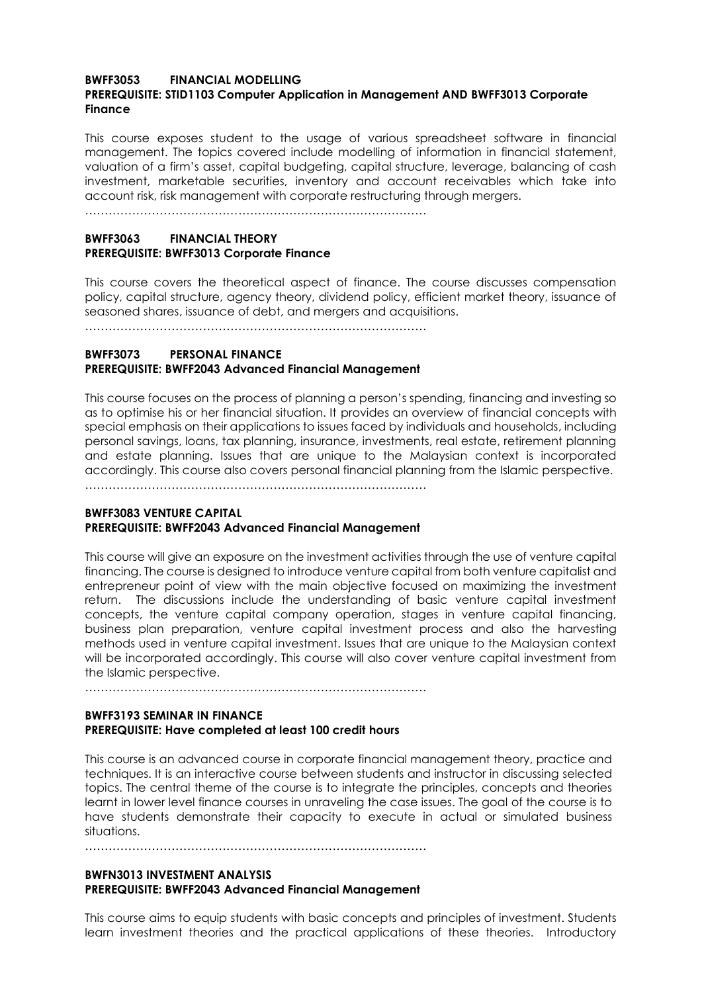#### **BWFF3053 FINANCIAL MODELLING PREREQUISITE: STID1103 Computer Application in Management AND BWFF3013 Corporate Finance**

This course exposes student to the usage of various spreadsheet software in financial management. The topics covered include modelling of information in financial statement, valuation of a firm's asset, capital budgeting, capital structure, leverage, balancing of cash investment, marketable securities, inventory and account receivables which take into account risk, risk management with corporate restructuring through mergers.

……………………………………………………………………………

## **BWFF3063 FINANCIAL THEORY PREREQUISITE: BWFF3013 Corporate Finance**

This course covers the theoretical aspect of finance. The course discusses compensation policy, capital structure, agency theory, dividend policy, efficient market theory, issuance of seasoned shares, issuance of debt, and mergers and acquisitions.

……………………………………………………………………………

### **BWFF3073 PERSONAL FINANCE PREREQUISITE: BWFF2043 Advanced Financial Management**

This course focuses on the process of planning a person's spending, financing and investing so as to optimise his or her financial situation. It provides an overview of financial concepts with special emphasis on their applications to issues faced by individuals and households, including personal savings, loans, tax planning, insurance, investments, real estate, retirement planning and estate planning. Issues that are unique to the Malaysian context is incorporated accordingly. This course also covers personal financial planning from the Islamic perspective.

……………………………………………………………………………

### **BWFF3083 VENTURE CAPITAL PREREQUISITE: BWFF2043 Advanced Financial Management**

This course will give an exposure on the investment activities through the use of venture capital financing. The course is designed to introduce venture capital from both venture capitalist and entrepreneur point of view with the main objective focused on maximizing the investment return. The discussions include the understanding of basic venture capital investment concepts, the venture capital company operation, stages in venture capital financing, business plan preparation, venture capital investment process and also the harvesting methods used in venture capital investment. Issues that are unique to the Malaysian context will be incorporated accordingly. This course will also cover venture capital investment from the Islamic perspective.

……………………………………………………………………………

### **BWFF3193 SEMINAR IN FINANCE PREREQUISITE: Have completed at least 100 credit hours**

This course is an advanced course in corporate financial management theory, practice and techniques. It is an interactive course between students and instructor in discussing selected topics. The central theme of the course is to integrate the principles, concepts and theories learnt in lower level finance courses in unraveling the case issues. The goal of the course is to have students demonstrate their capacity to execute in actual or simulated business situations.

……………………………………………………………………………

## **BWFN3013 INVESTMENT ANALYSIS PREREQUISITE: BWFF2043 Advanced Financial Management**

This course aims to equip students with basic concepts and principles of investment. Students learn investment theories and the practical applications of these theories. Introductory